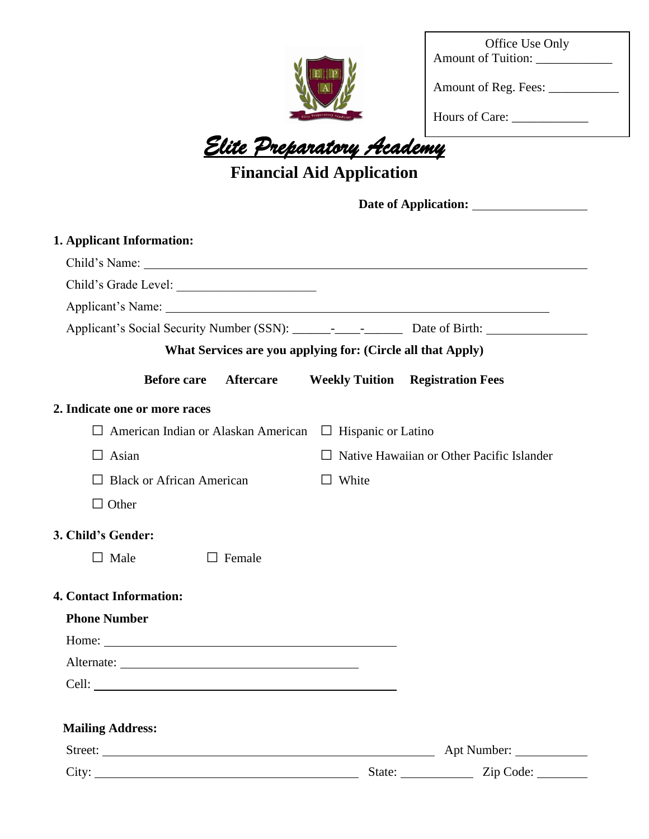

| <b>Amount of Tuition:</b> | Office Use Only |  |
|---------------------------|-----------------|--|
|                           |                 |  |

Amount of Reg. Fees: \_\_\_\_\_\_\_\_\_\_\_

Hours of Care: \_\_\_\_\_\_\_\_\_\_\_\_

# *Elite Preparatory Academy*

## **Financial Aid Application**

Date of Application: <u>\_\_\_\_\_\_\_\_\_\_\_\_\_\_\_\_\_\_\_\_\_\_\_</u>

| 1. Applicant Information:                                          |                  |                                                             |                                                  |  |  |
|--------------------------------------------------------------------|------------------|-------------------------------------------------------------|--------------------------------------------------|--|--|
|                                                                    |                  |                                                             |                                                  |  |  |
|                                                                    |                  |                                                             |                                                  |  |  |
|                                                                    |                  |                                                             |                                                  |  |  |
|                                                                    |                  |                                                             |                                                  |  |  |
|                                                                    |                  | What Services are you applying for: (Circle all that Apply) |                                                  |  |  |
| <b>Before care</b>                                                 | <b>Aftercare</b> |                                                             | <b>Weekly Tuition Registration Fees</b>          |  |  |
| 2. Indicate one or more races                                      |                  |                                                             |                                                  |  |  |
| American Indian or Alaskan American □ Hispanic or Latino<br>$\Box$ |                  |                                                             |                                                  |  |  |
| $\Box$ Asian                                                       |                  |                                                             | $\Box$ Native Hawaiian or Other Pacific Islander |  |  |
| $\Box$ Black or African American                                   |                  | $\Box$ White                                                |                                                  |  |  |
| $\Box$ Other                                                       |                  |                                                             |                                                  |  |  |
| 3. Child's Gender:                                                 |                  |                                                             |                                                  |  |  |
| $\Box$ Male                                                        | Female           |                                                             |                                                  |  |  |
| <b>4. Contact Information:</b>                                     |                  |                                                             |                                                  |  |  |
| <b>Phone Number</b>                                                |                  |                                                             |                                                  |  |  |
|                                                                    |                  |                                                             |                                                  |  |  |
|                                                                    |                  |                                                             |                                                  |  |  |
| Cell:                                                              |                  |                                                             |                                                  |  |  |
| <b>Mailing Address:</b>                                            |                  |                                                             |                                                  |  |  |
| Street:                                                            |                  |                                                             | Apt Number:                                      |  |  |
|                                                                    |                  |                                                             | State: <u>Zip Code:</u>                          |  |  |